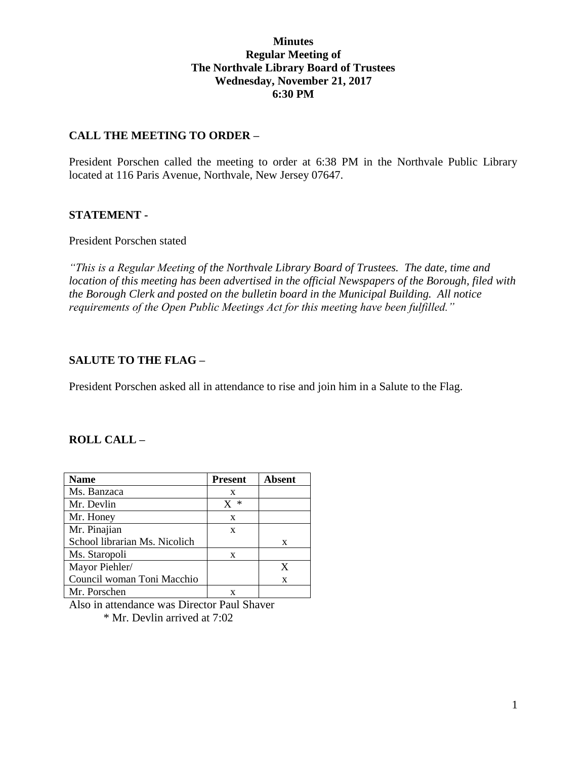## **Minutes Regular Meeting of The Northvale Library Board of Trustees Wednesday, November 21, 2017 6:30 PM**

## **CALL THE MEETING TO ORDER –**

President Porschen called the meeting to order at 6:38 PM in the Northvale Public Library located at 116 Paris Avenue, Northvale, New Jersey 07647.

#### **STATEMENT -**

#### President Porschen stated

*"This is a Regular Meeting of the Northvale Library Board of Trustees. The date, time and location of this meeting has been advertised in the official Newspapers of the Borough, filed with the Borough Clerk and posted on the bulletin board in the Municipal Building. All notice requirements of the Open Public Meetings Act for this meeting have been fulfilled."* 

## **SALUTE TO THE FLAG –**

President Porschen asked all in attendance to rise and join him in a Salute to the Flag.

#### **ROLL CALL –**

| <b>Name</b>                   | <b>Present</b> | <b>Absent</b> |
|-------------------------------|----------------|---------------|
| Ms. Banzaca                   | X              |               |
| Mr. Devlin                    | ∗              |               |
| Mr. Honey                     | X              |               |
| Mr. Pinajian                  | X              |               |
| School librarian Ms. Nicolich |                | X             |
| Ms. Staropoli                 | X              |               |
| Mayor Piehler/                |                | X             |
| Council woman Toni Macchio    |                | X             |
| Mr. Porschen                  |                |               |

Also in attendance was Director Paul Shaver

\* Mr. Devlin arrived at 7:02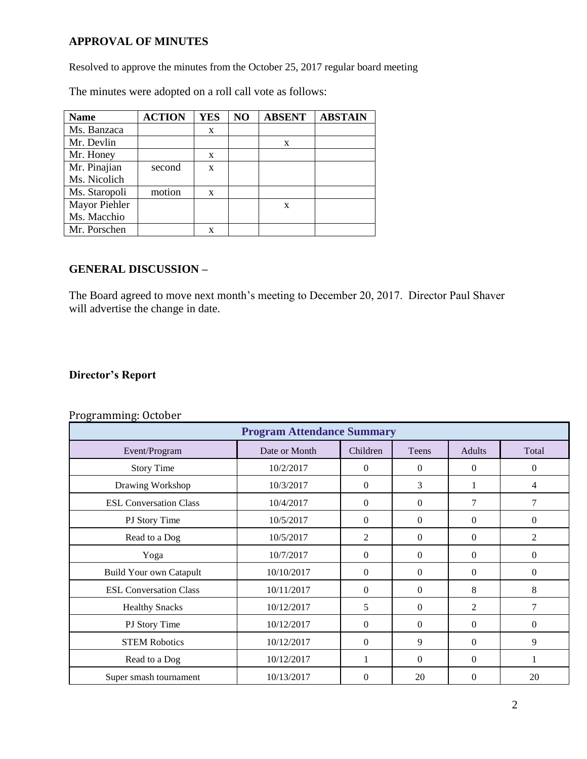# **APPROVAL OF MINUTES**

Resolved to approve the minutes from the October 25, 2017 regular board meeting

The minutes were adopted on a roll call vote as follows:

| <b>Name</b>   | <b>ACTION</b> | YES | N <sub>O</sub> | <b>ABSENT</b> | <b>ABSTAIN</b> |
|---------------|---------------|-----|----------------|---------------|----------------|
| Ms. Banzaca   |               | X   |                |               |                |
| Mr. Devlin    |               |     |                | X             |                |
| Mr. Honey     |               | X   |                |               |                |
| Mr. Pinajian  | second        | X   |                |               |                |
| Ms. Nicolich  |               |     |                |               |                |
| Ms. Staropoli | motion        | X   |                |               |                |
| Mayor Piehler |               |     |                | X             |                |
| Ms. Macchio   |               |     |                |               |                |
| Mr. Porschen  |               | x   |                |               |                |

## **GENERAL DISCUSSION –**

The Board agreed to move next month's meeting to December 20, 2017. Director Paul Shaver will advertise the change in date.

# **Director's Report**

| <b>Program Attendance Summary</b> |               |                |              |                  |                |  |  |
|-----------------------------------|---------------|----------------|--------------|------------------|----------------|--|--|
| Event/Program                     | Date or Month | Children       | Teens        | <b>Adults</b>    | Total          |  |  |
| <b>Story Time</b>                 | 10/2/2017     | $\Omega$       | $\theta$     | $\boldsymbol{0}$ | $\overline{0}$ |  |  |
| Drawing Workshop                  | 10/3/2017     | $\Omega$       | 3            |                  | 4              |  |  |
| <b>ESL Conversation Class</b>     | 10/4/2017     | $\Omega$       | $\theta$     | 7                | 7              |  |  |
| PJ Story Time                     | 10/5/2017     | $\Omega$       | $\theta$     | $\Omega$         | $\overline{0}$ |  |  |
| Read to a Dog                     | 10/5/2017     | 2              | $\theta$     | $\Omega$         | 2              |  |  |
| Yoga                              | 10/7/2017     | $\Omega$       | $\theta$     | $\Omega$         | $\theta$       |  |  |
| <b>Build Your own Catapult</b>    | 10/10/2017    | $\Omega$       | $\theta$     | $\Omega$         | $\theta$       |  |  |
| <b>ESL Conversation Class</b>     | 10/11/2017    | $\Omega$       | $\theta$     | 8                | 8              |  |  |
| <b>Healthy Snacks</b>             | 10/12/2017    | 5              | $\mathbf{0}$ | $\overline{2}$   | 7              |  |  |
| PJ Story Time                     | 10/12/2017    | $\Omega$       | $\Omega$     | $\Omega$         | $\Omega$       |  |  |
| <b>STEM Robotics</b>              | 10/12/2017    | $\overline{0}$ | 9            | $\Omega$         | 9              |  |  |
| Read to a Dog                     | 10/12/2017    | 1              | $\theta$     | $\Omega$         | 1              |  |  |
| Super smash tournament            | 10/13/2017    | $\overline{0}$ | 20           | $\overline{0}$   | 20             |  |  |

#### Programming: October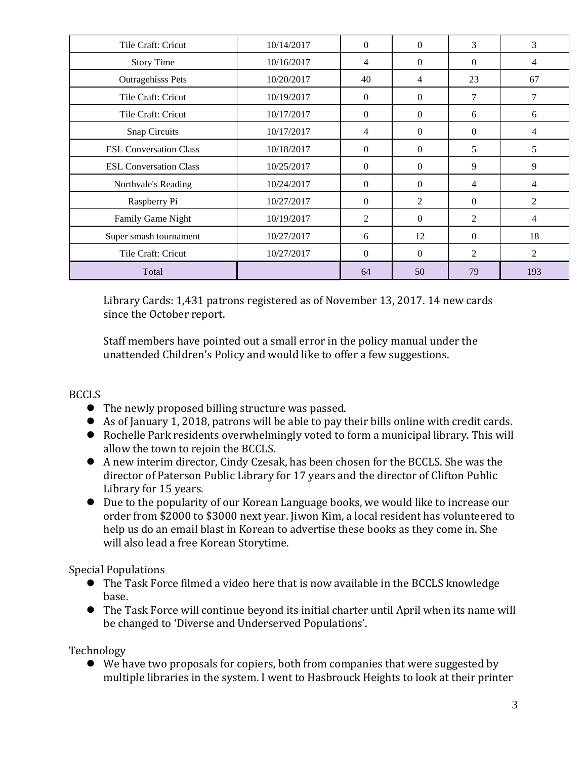| Tile Craft: Cricut            | 10/14/2017 | $\Omega$       | $\Omega$       | 3              | 3   |
|-------------------------------|------------|----------------|----------------|----------------|-----|
| <b>Story Time</b>             | 10/16/2017 | 4              | $\Omega$       | $\Omega$       | 4   |
| <b>Outragehisss Pets</b>      | 10/20/2017 | 40             | 4              | 23             | 67  |
| Tile Craft: Cricut            | 10/19/2017 | $\Omega$       | $\Omega$       | 7              | 7   |
| Tile Craft: Cricut            | 10/17/2017 | $\Omega$       | $\Omega$       | 6              | 6   |
| Snap Circuits                 | 10/17/2017 | 4              | $\Omega$       | $\Omega$       | 4   |
| <b>ESL Conversation Class</b> | 10/18/2017 | $\Omega$       | $\Omega$       | 5              | 5   |
| <b>ESL Conversation Class</b> | 10/25/2017 | $\Omega$       | $\Omega$       | 9              | 9   |
| Northvale's Reading           | 10/24/2017 | $\theta$       | $\Omega$       | 4              | 4   |
| Raspberry Pi                  | 10/27/2017 | $\Omega$       | $\overline{2}$ | $\Omega$       | 2   |
| Family Game Night             | 10/19/2017 | $\overline{2}$ | $\Omega$       | 2              | 4   |
| Super smash tournament        | 10/27/2017 | 6              | 12             | $\theta$       | 18  |
| Tile Craft: Cricut            | 10/27/2017 | $\Omega$       | $\Omega$       | $\overline{2}$ | 2   |
| Total                         |            | 64             | 50             | 79             | 193 |

Library Cards: 1,431 patrons registered as of November 13, 2017. 14 new cards since the October report.

Staff members have pointed out a small error in the policy manual under the unattended Children's Policy and would like to offer a few suggestions.

# BCCLS

- The newly proposed billing structure was passed.
- As of January 1, 2018, patrons will be able to pay their bills online with credit cards.
- Rochelle Park residents overwhelmingly voted to form a municipal library. This will allow the town to rejoin the BCCLS.
- A new interim director, Cindy Czesak, has been chosen for the BCCLS. She was the director of Paterson Public Library for 17 years and the director of Clifton Public Library for 15 years.
- Due to the popularity of our Korean Language books, we would like to increase our order from \$2000 to \$3000 next year. Jiwon Kim, a local resident has volunteered to help us do an email blast in Korean to advertise these books as they come in. She will also lead a free Korean Storytime.

Special Populations

- The Task Force filmed a video here that is now available in the BCCLS knowledge base.
- The Task Force will continue beyond its initial charter until April when its name will be changed to 'Diverse and Underserved Populations'.

Technology

 We have two proposals for copiers, both from companies that were suggested by multiple libraries in the system. I went to Hasbrouck Heights to look at their printer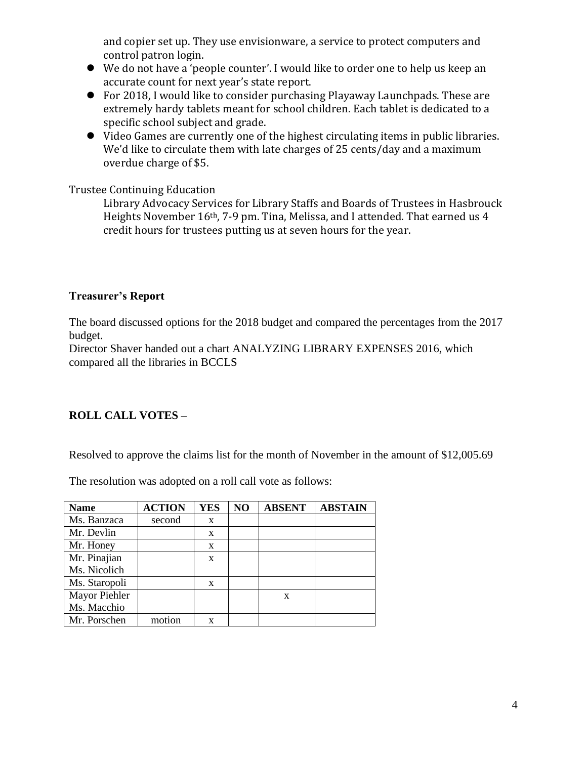and copier set up. They use envisionware, a service to protect computers and control patron login.

- We do not have a 'people counter'. I would like to order one to help us keep an accurate count for next year's state report.
- For 2018, I would like to consider purchasing Playaway Launchpads. These are extremely hardy tablets meant for school children. Each tablet is dedicated to a specific school subject and grade.
- Video Games are currently one of the highest circulating items in public libraries. We'd like to circulate them with late charges of 25 cents/day and a maximum overdue charge of \$5.

Trustee Continuing Education

Library Advocacy Services for Library Staffs and Boards of Trustees in Hasbrouck Heights November 16th, 7-9 pm. Tina, Melissa, and I attended. That earned us 4 credit hours for trustees putting us at seven hours for the year.

# **Treasurer's Report**

The board discussed options for the 2018 budget and compared the percentages from the 2017 budget.

Director Shaver handed out a chart ANALYZING LIBRARY EXPENSES 2016, which compared all the libraries in BCCLS

# **ROLL CALL VOTES –**

Resolved to approve the claims list for the month of November in the amount of \$12,005.69

The resolution was adopted on a roll call vote as follows:

| <b>Name</b>   | <b>ACTION</b> | <b>YES</b> | NO | <b>ABSENT</b> | <b>ABSTAIN</b> |
|---------------|---------------|------------|----|---------------|----------------|
| Ms. Banzaca   | second        | X          |    |               |                |
| Mr. Devlin    |               | X          |    |               |                |
| Mr. Honey     |               | X          |    |               |                |
| Mr. Pinajian  |               | X          |    |               |                |
| Ms. Nicolich  |               |            |    |               |                |
| Ms. Staropoli |               | X          |    |               |                |
| Mayor Piehler |               |            |    | $\mathbf x$   |                |
| Ms. Macchio   |               |            |    |               |                |
| Mr. Porschen  | motion        | x          |    |               |                |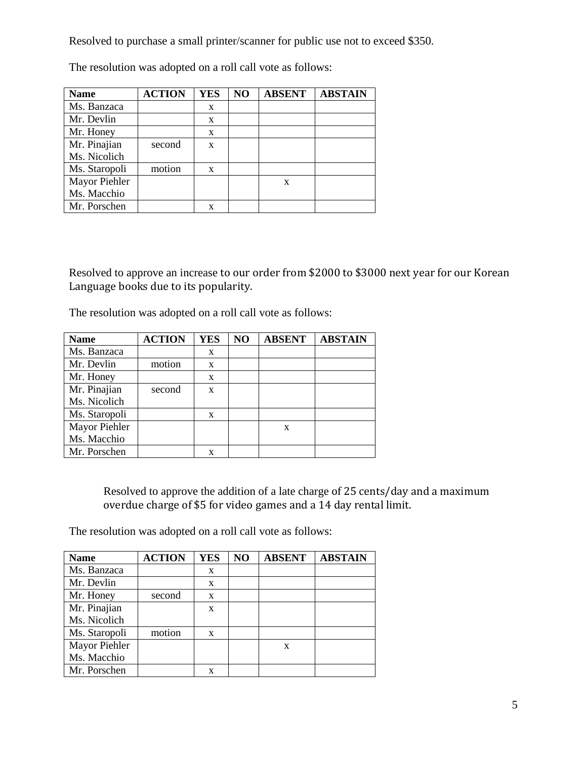Resolved to purchase a small printer/scanner for public use not to exceed \$350.

| <b>Name</b>   | <b>ACTION</b> | <b>YES</b> | NO | <b>ABSENT</b> | <b>ABSTAIN</b> |
|---------------|---------------|------------|----|---------------|----------------|
| Ms. Banzaca   |               | X          |    |               |                |
| Mr. Devlin    |               | X          |    |               |                |
| Mr. Honey     |               | X          |    |               |                |
| Mr. Pinajian  | second        | X          |    |               |                |
| Ms. Nicolich  |               |            |    |               |                |
| Ms. Staropoli | motion        | X          |    |               |                |
| Mayor Piehler |               |            |    | X             |                |
| Ms. Macchio   |               |            |    |               |                |
| Mr. Porschen  |               | X          |    |               |                |

The resolution was adopted on a roll call vote as follows:

Resolved to approve an increase to our order from \$2000 to \$3000 next year for our Korean Language books due to its popularity.

The resolution was adopted on a roll call vote as follows:

| <b>Name</b>   | <b>ACTION</b> | <b>YES</b> | NO | <b>ABSENT</b> | <b>ABSTAIN</b> |
|---------------|---------------|------------|----|---------------|----------------|
| Ms. Banzaca   |               | X          |    |               |                |
| Mr. Devlin    | motion        | X          |    |               |                |
| Mr. Honey     |               | X          |    |               |                |
| Mr. Pinajian  | second        | X          |    |               |                |
| Ms. Nicolich  |               |            |    |               |                |
| Ms. Staropoli |               | X          |    |               |                |
| Mayor Piehler |               |            |    | X             |                |
| Ms. Macchio   |               |            |    |               |                |
| Mr. Porschen  |               | X          |    |               |                |

Resolved to approve the addition of a late charge of 25 cents/day and a maximum overdue charge of \$5 for video games and a 14 day rental limit.

The resolution was adopted on a roll call vote as follows:

| <b>Name</b>   | <b>ACTION</b> | <b>YES</b> | NO | <b>ABSENT</b> | <b>ABSTAIN</b> |
|---------------|---------------|------------|----|---------------|----------------|
| Ms. Banzaca   |               | X          |    |               |                |
| Mr. Devlin    |               | X          |    |               |                |
| Mr. Honey     | second        | X          |    |               |                |
| Mr. Pinajian  |               | X          |    |               |                |
| Ms. Nicolich  |               |            |    |               |                |
| Ms. Staropoli | motion        | X          |    |               |                |
| Mayor Piehler |               |            |    | X             |                |
| Ms. Macchio   |               |            |    |               |                |
| Mr. Porschen  |               | X          |    |               |                |